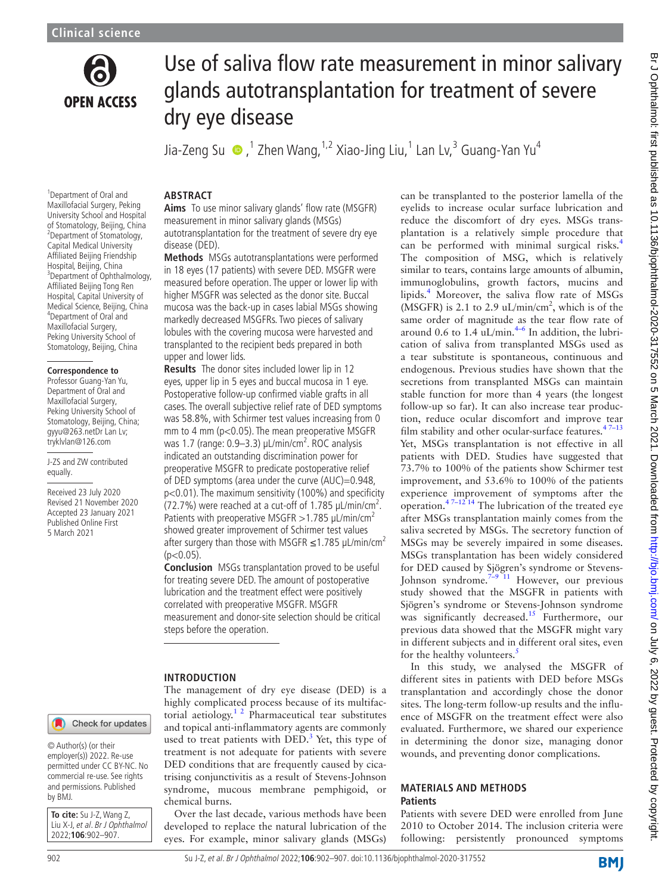

# Use of saliva flow rate measurement in minor salivary glands autotransplantation for treatment of severe dry eye disease

Jia-Zeng Su ,1 Zhen Wang,1,2 Xiao-Jing Liu,1 Lan Lv,<sup>3</sup> Guang-Yan Yu4

<sup>1</sup>Department of Oral and Maxillofacial Surgery, Peking University School and Hospital of Stomatology, Beijing, China 2 Department of Stomatology, Capital Medical University Affiliated Beijing Friendship Hospital, Beijing, China 3 Department of Ophthalmology, Affiliated Beijing Tong Ren Hospital, Capital University of Medical Science, Beijing, China 4 Department of Oral and Maxillofacial Surgery, Peking University School of Stomatology, Beijing, China

#### **Correspondence to**

Professor Guang-Yan Yu, Department of Oral and Maxillofacial Surgery, Peking University School of Stomatology, Beijing, China; gyyu@263.netDr Lan Lv; tryklvlan@126.com

J-ZS and ZW contributed equally.

Received 23 July 2020 Revised 21 November 2020 Accepted 23 January 2021 Published Online First 5 March 2021

#### **ABSTRACT**

**Aims** To use minor salivary glands' flow rate (MSGFR) measurement in minor salivary glands (MSGs) autotransplantation for the treatment of severe dry eye disease (DED).

**Methods** MSGs autotransplantations were performed in 18 eyes (17 patients) with severe DED. MSGFR were measured before operation. The upper or lower lip with higher MSGFR was selected as the donor site. Buccal mucosa was the back-up in cases labial MSGs showing markedly decreased MSGFRs. Two pieces of salivary lobules with the covering mucosa were harvested and transplanted to the recipient beds prepared in both upper and lower lids.

**Results** The donor sites included lower lip in 12 eyes, upper lip in 5 eyes and buccal mucosa in 1 eye. Postoperative follow-up confirmed viable grafts in all cases. The overall subjective relief rate of DED symptoms was 58.8%, with Schirmer test values increasing from 0 mm to 4 mm (p<0.05). The mean preoperative MSGFR was 1.7 (range: 0.9–3.3) µL/min/cm<sup>2</sup>. ROC analysis indicated an outstanding discrimination power for preoperative MSGFR to predicate postoperative relief of DED symptoms (area under the curve (AUC)=0.948, p<0.01). The maximum sensitivity (100%) and specificity (72.7%) were reached at a cut-off of 1.785  $\mu$ L/min/cm<sup>2</sup>. Patients with preoperative MSGFR  $>1.785$  µL/min/cm<sup>2</sup> showed greater improvement of Schirmer test values after surgery than those with MSGFR  $\leq$ 1.785 µL/min/cm<sup>2</sup>  $(p<0.05)$ .

**Conclusion** MSGs transplantation proved to be useful for treating severe DED. The amount of postoperative lubrication and the treatment effect were positively correlated with preoperative MSGFR. MSGFR measurement and donor-site selection should be critical steps before the operation.

#### **INTRODUCTION**

The management of dry eye disease (DED) is a highly complicated process because of its multifactorial aetiology.<sup>1 2</sup> Pharmaceutical tear substitutes and topical anti-inflammatory agents are commonly used to treat patients with  $\text{DED.}^3$  Yet, this type of treatment is not adequate for patients with severe DED conditions that are frequently caused by cicatrising conjunctivitis as a result of Stevens-Johnson syndrome, mucous membrane pemphigoid, or chemical burns.

Over the last decade, various methods have been developed to replace the natural lubrication of the eyes. For example, minor salivary glands (MSGs)

can be transplanted to the posterior lamella of the eyelids to increase ocular surface lubrication and reduce the discomfort of dry eyes. MSGs transplantation is a relatively simple procedure that can be performed with minimal surgical risks.<sup>[4](#page-5-2)</sup> The composition of MSG, which is relatively similar to tears, contains large amounts of albumin, immunoglobulins, growth factors, mucins and lipids.<sup>4</sup> Moreover, the saliva flow rate of MSGs  $(MSGFR)$  is 2.1 to 2.9 uL/min/cm<sup>2</sup>, which is of the same order of magnitude as the tear flow rate of around 0.6 to 1.4  $\mu$ L/min.<sup>4-6</sup> In addition, the lubrication of saliva from transplanted MSGs used as a tear substitute is spontaneous, continuous and endogenous. Previous studies have shown that the secretions from transplanted MSGs can maintain stable function for more than 4 years (the longest follow-up so far). It can also increase tear production, reduce ocular discomfort and improve tear film stability and other ocular-surface features. $47-13$ Yet, MSGs transplantation is not effective in all patients with DED. Studies have suggested that 73.7% to 100% of the patients show Schirmer test improvement, and 53.6% to 100% of the patients experience improvement of symptoms after the operation.<sup>47-12 14</sup> The lubrication of the treated eye after MSGs transplantation mainly comes from the saliva secreted by MSGs. The secretory function of MSGs may be severely impaired in some diseases. MSGs transplantation has been widely considered for DED caused by Sjögren's syndrome or Stevens-Johnson syndrome.<sup>[7–9 11](#page-5-3)</sup> However, our previous study showed that the MSGFR in patients with Sjögren's syndrome or Stevens-Johnson syndrome was significantly decreased.<sup>15</sup> Furthermore, our previous data showed that the MSGFR might vary in different subjects and in different oral sites, even for the healthy volunteers. $\frac{5}{5}$  $\frac{5}{5}$  $\frac{5}{5}$ 

In this study, we analysed the MSGFR of different sites in patients with DED before MSGs transplantation and accordingly chose the donor sites. The long-term follow-up results and the influence of MSGFR on the treatment effect were also evaluated. Furthermore, we shared our experience in determining the donor size, managing donor wounds, and preventing donor complications.

#### **MATERIALS AND METHODS Patients**

Patients with severe DED were enrolled from June 2010 to October 2014. The inclusion criteria were following: persistently pronounced symptoms

#### © Author(s) (or their

employer(s)) 2022. Re-use permitted under CC BY-NC. No commercial re-use. See rights and permissions. Published by BMJ.

Check for updates

**To cite:** Su J-Z, Wang Z, Liu X-J, et al. Br J Ophthalmol 2022;**106**:902–907.

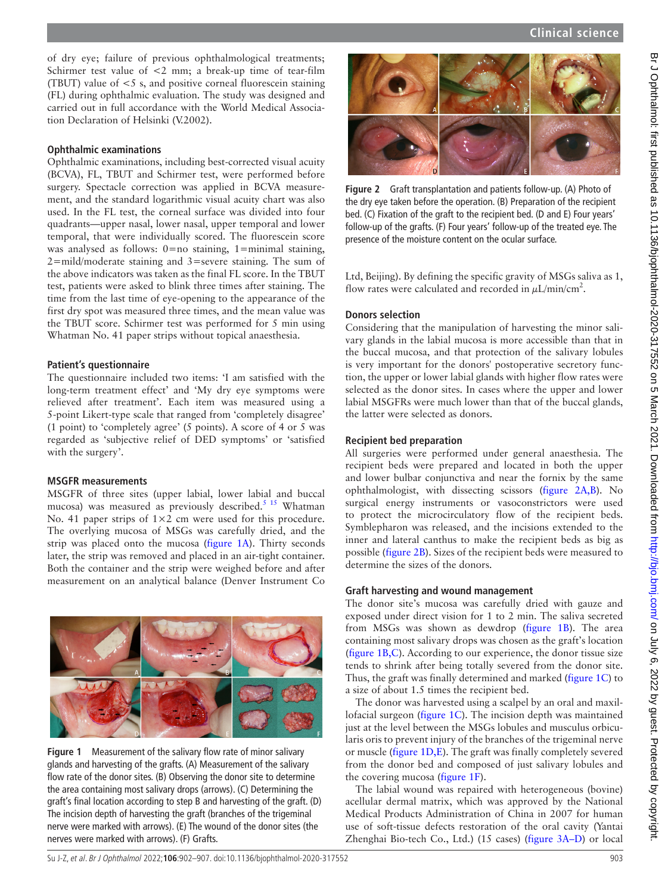of dry eye; failure of previous ophthalmological treatments; Schirmer test value of <2 mm; a break-up time of tear-film (TBUT) value of  $\leq$  5 s, and positive corneal fluorescein staining (FL) during ophthalmic evaluation. The study was designed and carried out in full accordance with the World Medical Association Declaration of Helsinki (V.2002).

#### **Ophthalmic examinations**

Ophthalmic examinations, including best-corrected visual acuity (BCVA), FL, TBUT and Schirmer test, were performed before surgery. Spectacle correction was applied in BCVA measurement, and the standard logarithmic visual acuity chart was also used. In the FL test, the corneal surface was divided into four quadrants—upper nasal, lower nasal, upper temporal and lower temporal, that were individually scored. The fluorescein score was analysed as follows:  $0=$ no staining, 1=minimal staining, 2=mild/moderate staining and 3=severe staining. The sum of the above indicators was taken as the final FL score. In the TBUT test, patients were asked to blink three times after staining. The time from the last time of eye-opening to the appearance of the first dry spot was measured three times, and the mean value was the TBUT score. Schirmer test was performed for 5 min using Whatman No. 41 paper strips without topical anaesthesia.

### **Patient's questionnaire**

The questionnaire included two items: 'I am satisfied with the long-term treatment effect' and 'My dry eye symptoms were relieved after treatment'. Each item was measured using a 5-point Likert-type scale that ranged from 'completely disagree' (1 point) to 'completely agree' (5 points). A score of 4 or 5 was regarded as 'subjective relief of DED symptoms' or 'satisfied with the surgery'.

### **MSGFR measurements**

MSGFR of three sites (upper labial, lower labial and buccal mucosa) was measured as previously described.<sup>5 15</sup> Whatman No. 41 paper strips of 1×2 cm were used for this procedure. The overlying mucosa of MSGs was carefully dried, and the strip was placed onto the mucosa ([figure](#page-1-0) 1A). Thirty seconds later, the strip was removed and placed in an air-tight container. Both the container and the strip were weighed before and after measurement on an analytical balance (Denver Instrument Co

<span id="page-1-0"></span>

**Figure 1** Measurement of the salivary flow rate of minor salivary glands and harvesting of the grafts. (A) Measurement of the salivary flow rate of the donor sites. (B) Observing the donor site to determine the area containing most salivary drops (arrows). (C) Determining the graft's final location according to step B and harvesting of the graft. (D) The incision depth of harvesting the graft (branches of the trigeminal nerve were marked with arrows). (E) The wound of the donor sites (the nerves were marked with arrows). (F) Grafts.



**Figure 2** Graft transplantation and patients follow-up. (A) Photo of the dry eye taken before the operation. (B) Preparation of the recipient bed. (C) Fixation of the graft to the recipient bed. (D and E) Four years' follow-up of the grafts. (F) Four years' follow-up of the treated eye. The presence of the moisture content on the ocular surface.

<span id="page-1-1"></span>Ltd, Beijing). By defining the specific gravity of MSGs saliva as 1, flow rates were calculated and recorded in  $\mu$ L/min/cm<sup>2</sup>.

# **Donors selection**

Considering that the manipulation of harvesting the minor salivary glands in the labial mucosa is more accessible than that in the buccal mucosa, and that protection of the salivary lobules is very important for the donors' postoperative secretory function, the upper or lower labial glands with higher flow rates were selected as the donor sites. In cases where the upper and lower labial MSGFRs were much lower than that of the buccal glands, the latter were selected as donors.

# **Recipient bed preparation**

All surgeries were performed under general anaesthesia. The recipient beds were prepared and located in both the upper and lower bulbar conjunctiva and near the fornix by the same ophthalmologist, with dissecting scissors ([figure](#page-1-1) 2A,B). No surgical energy instruments or vasoconstrictors were used to protect the microcirculatory flow of the recipient beds. Symblepharon was released, and the incisions extended to the inner and lateral canthus to make the recipient beds as big as possible [\(figure](#page-1-1) 2B). Sizes of the recipient beds were measured to determine the sizes of the donors.

### **Graft harvesting and wound management**

The donor site's mucosa was carefully dried with gauze and exposed under direct vision for 1 to 2 min. The saliva secreted from MSGs was shown as dewdrop ([figure](#page-1-0) 1B). The area containing most salivary drops was chosen as the graft's location ([figure](#page-1-0) 1B,C). According to our experience, the donor tissue size tends to shrink after being totally severed from the donor site. Thus, the graft was finally determined and marked [\(figure](#page-1-0) 1C) to a size of about 1.5 times the recipient bed.

The donor was harvested using a scalpel by an oral and maxillofacial surgeon [\(figure](#page-1-0) 1C). The incision depth was maintained just at the level between the MSGs lobules and musculus orbicularis oris to prevent injury of the branches of the trigeminal nerve or muscle ([figure](#page-1-0) 1D,E). The graft was finally completely severed from the donor bed and composed of just salivary lobules and the covering mucosa [\(figure](#page-1-0) 1F).

The labial wound was repaired with heterogeneous (bovine) acellular dermal matrix, which was approved by the National Medical Products Administration of China in 2007 for human use of soft-tissue defects restoration of the oral cavity (Yantai Zhenghai Bio-tech Co., Ltd.) (15 cases) (figure [3A–D\)](#page-2-0) or local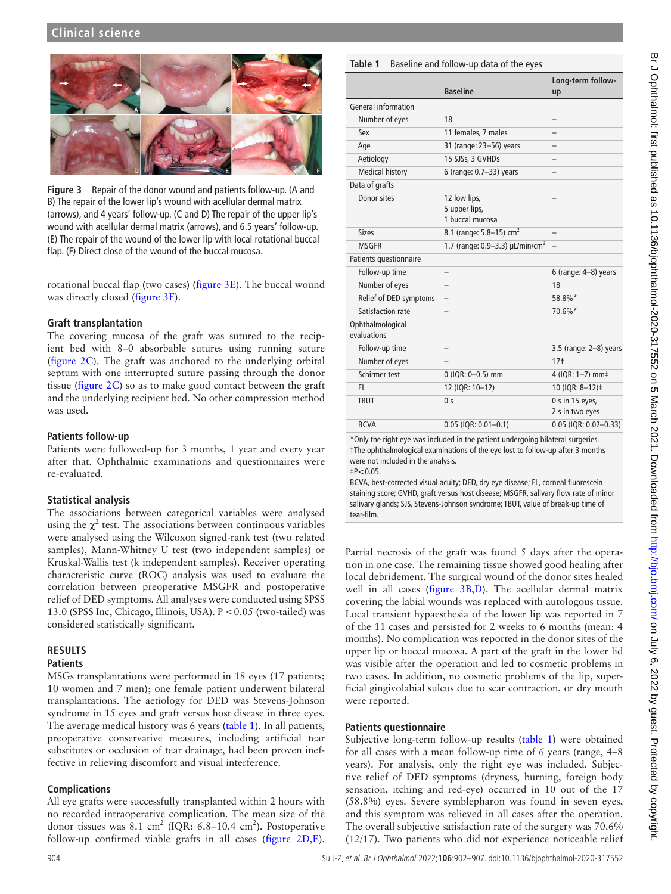<span id="page-2-0"></span>

**Figure 3** Repair of the donor wound and patients follow-up. (A and B) The repair of the lower lip's wound with acellular dermal matrix (arrows), and 4 years' follow-up. (C and D) The repair of the upper lip's wound with acellular dermal matrix (arrows), and 6.5 years' follow-up. (E) The repair of the wound of the lower lip with local rotational buccal flap. (F) Direct close of the wound of the buccal mucosa.

rotational buccal flap (two cases) ([figure](#page-2-0) 3E). The buccal wound was directly closed ([figure](#page-2-0) 3F).

# **Graft transplantation**

The covering mucosa of the graft was sutured to the recipient bed with 8–0 absorbable sutures using running suture ([figure](#page-1-1) 2C). The graft was anchored to the underlying orbital septum with one interrupted suture passing through the donor tissue [\(figure](#page-1-1) 2C) so as to make good contact between the graft and the underlying recipient bed. No other compression method was used.

# **Patients follow-up**

Patients were followed-up for 3 months, 1 year and every year after that. Ophthalmic examinations and questionnaires were re-evaluated.

# **Statistical analysis**

The associations between categorical variables were analysed using the  $\chi^2$  test. The associations between continuous variables were analysed using the Wilcoxon signed-rank test (two related samples), Mann-Whitney U test (two independent samples) or Kruskal-Wallis test (k independent samples). Receiver operating characteristic curve (ROC) analysis was used to evaluate the correlation between preoperative MSGFR and postoperative relief of DED symptoms. All analyses were conducted using SPSS 13.0 (SPSS Inc, Chicago, Illinois, USA). P <0.05 (two-tailed) was considered statistically significant.

# **RESULTS**

# **Patients**

MSGs transplantations were performed in 18 eyes (17 patients; 10 women and 7 men); one female patient underwent bilateral transplantations. The aetiology for DED was Stevens-Johnson syndrome in 15 eyes and graft versus host disease in three eyes. The average medical history was 6 years ([table](#page-2-1) 1). In all patients, preoperative conservative measures, including artificial tear substitutes or occlusion of tear drainage, had been proven ineffective in relieving discomfort and visual interference.

# **Complications**

All eye grafts were successfully transplanted within 2 hours with no recorded intraoperative complication. The mean size of the donor tissues was  $8.1 \text{ cm}^2$  (IQR: 6.8-10.4 cm<sup>2</sup>). Postoperative follow-up confirmed viable grafts in all cases ([figure](#page-1-1) 2D,E).

# <span id="page-2-1"></span>**Table 1** Baseline and follow-up data of the eyes

|                                 | <b>Baseline</b>                                    | Long-term follow-<br>up              |
|---------------------------------|----------------------------------------------------|--------------------------------------|
| General information             |                                                    |                                      |
| Number of eyes                  | 18                                                 |                                      |
| Sex                             | 11 females. 7 males                                |                                      |
| Age                             | 31 (range: 23-56) years                            |                                      |
| Aetiology                       | 15 SJSs, 3 GVHDs                                   |                                      |
| <b>Medical history</b>          | 6 (range: 0.7-33) years                            |                                      |
| Data of grafts                  |                                                    |                                      |
| Donor sites                     | 12 low lips,<br>5 upper lips,<br>1 buccal mucosa   |                                      |
| <b>Sizes</b>                    | 8.1 (range: 5.8-15) cm <sup>2</sup>                |                                      |
| <b>MSGFR</b>                    | 1.7 (range: 0.9–3.3) $\mu$ L/min/cm <sup>2</sup> – |                                      |
| Patients questionnaire          |                                                    |                                      |
| Follow-up time                  |                                                    | $6$ (range: $4-8$ ) years            |
| Number of eyes                  |                                                    | 18                                   |
| Relief of DED symptoms          |                                                    | 58.8%*                               |
| Satisfaction rate               |                                                    | 70.6%*                               |
| Ophthalmological<br>evaluations |                                                    |                                      |
| Follow-up time                  |                                                    | 3.5 (range: 2-8) years               |
| Number of eyes                  |                                                    | $17+$                                |
| Schirmer test                   | 0 (IQR: 0-0.5) mm                                  | 4 (IQR: 1-7) mm‡                     |
| FL.                             | 12 (IQR: 10-12)                                    | 10 (IQR: 8-12)‡                      |
| <b>TBUT</b>                     | 0 <sup>5</sup>                                     | $0 s$ in 15 eyes,<br>2 s in two eyes |
| <b>BCVA</b>                     | $0.05$ (IQR: $0.01 - 0.1$ )                        | 0.05 (IQR: 0.02-0.33)                |

\*Only the right eye was included in the patient undergoing bilateral surgeries. †The ophthalmological examinations of the eye lost to follow-up after 3 months were not included in the analysis.

 $\pm P < 0.05$ .

BCVA, best-corrected visual acuity; DED, dry eye disease; FL, corneal fluorescein staining score; GVHD, graft versus host disease; MSGFR, salivary flow rate of minor salivary glands; SJS, Stevens-Johnson syndrome; TBUT, value of break-up time of tear-film.

Partial necrosis of the graft was found 5 days after the operation in one case. The remaining tissue showed good healing after local debridement. The surgical wound of the donor sites healed well in all cases ([figure](#page-2-0) 3B,D). The acellular dermal matrix covering the labial wounds was replaced with autologous tissue. Local transient hypaesthesia of the lower lip was reported in 7 of the 11 cases and persisted for 2 weeks to 6 months (mean: 4 months). No complication was reported in the donor sites of the upper lip or buccal mucosa. A part of the graft in the lower lid was visible after the operation and led to cosmetic problems in two cases. In addition, no cosmetic problems of the lip, superficial gingivolabial sulcus due to scar contraction, or dry mouth were reported.

### **Patients questionnaire**

Subjective long-term follow-up results [\(table](#page-2-1) 1) were obtained for all cases with a mean follow-up time of 6 years (range, 4–8 years). For analysis, only the right eye was included. Subjective relief of DED symptoms (dryness, burning, foreign body sensation, itching and red-eye) occurred in 10 out of the 17 (58.8%) eyes. Severe symblepharon was found in seven eyes, and this symptom was relieved in all cases after the operation. The overall subjective satisfaction rate of the surgery was 70.6% (12/17). Two patients who did not experience noticeable relief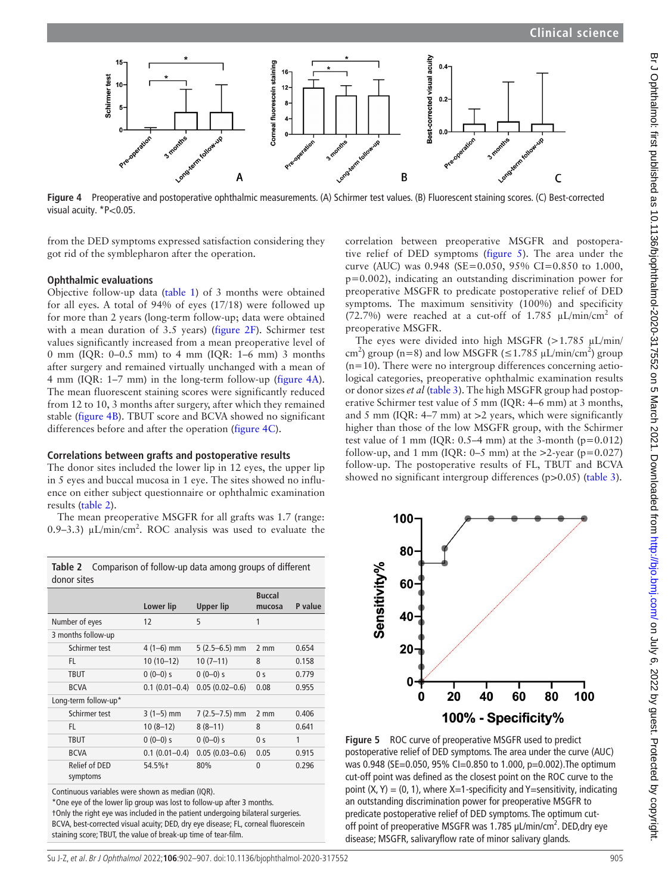

<span id="page-3-0"></span>**Figure 4** Preoperative and postoperative ophthalmic measurements. (A) Schirmer test values. (B) Fluorescent staining scores. (C) Best-corrected visual acuity. \* P<0.05.

from the DED symptoms expressed satisfaction considering they got rid of the symblepharon after the operation.

#### **Ophthalmic evaluations**

Objective follow-up data [\(table](#page-2-1) 1) of 3 months were obtained for all eyes. A total of 94% of eyes (17/18) were followed up for more than 2 years (long-term follow-up; data were obtained with a mean duration of 3.5 years) ([figure](#page-1-1) 2F). Schirmer test values significantly increased from a mean preoperative level of 0 mm (IQR: 0–0.5 mm) to 4 mm (IQR: 1–6 mm) 3 months after surgery and remained virtually unchanged with a mean of 4 mm (IQR: 1–7 mm) in the long-term follow-up [\(figure](#page-3-0) 4A). The mean fluorescent staining scores were significantly reduced from 12 to 10, 3 months after surgery, after which they remained stable [\(figure](#page-3-0) 4B). TBUT score and BCVA showed no significant differences before and after the operation [\(figure](#page-3-0) 4C).

#### **Correlations between grafts and postoperative results**

The donor sites included the lower lip in 12 eyes, the upper lip in 5 eyes and buccal mucosa in 1 eye. The sites showed no influence on either subject questionnaire or ophthalmic examination results [\(table](#page-3-1) 2).

The mean preoperative MSGFR for all grafts was 1.7 (range: 0.9-3.3)  $\mu$ L/min/cm<sup>2</sup>. ROC analysis was used to evaluate the

<span id="page-3-1"></span>**Table 2** Comparison of follow-up data among groups of different

| donor sites                      |                   |                    |                         |         |
|----------------------------------|-------------------|--------------------|-------------------------|---------|
|                                  | Lower lip         | Upper lip          | <b>Buccal</b><br>mucosa | P value |
| Number of eyes                   | 12                | 5                  | 1                       |         |
| 3 months follow-up               |                   |                    |                         |         |
| Schirmer test                    | $4(1-6)$ mm       | $5(2.5-6.5)$ mm    | $2 \text{ mm}$          | 0.654   |
| FL                               | $10(10-12)$       | $10(7-11)$         | 8                       | 0.158   |
| TBUT                             | $0(0-0)s$         | $0(0-0)s$          | 0 <sub>s</sub>          | 0.779   |
| <b>BCVA</b>                      | $0.1(0.01 - 0.4)$ | $0.05(0.02 - 0.6)$ | 0.08                    | 0.955   |
| Long-term follow-up*             |                   |                    |                         |         |
| Schirmer test                    | $3(1-5)$ mm       | $7(2.5 - 7.5)$ mm  | $2 \text{ mm}$          | 0.406   |
| FL                               | $10(8-12)$        | $8(8-11)$          | 8                       | 0.641   |
| <b>TBUT</b>                      | $0(0-0)s$         | $0(0-0)s$          | 0 <sub>s</sub>          | 1       |
| <b>BCVA</b>                      | $0.1(0.01 - 0.4)$ | $0.05(0.03 - 0.6)$ | 0.05                    | 0.915   |
| <b>Relief of DED</b><br>symptoms | 54.5%†            | 80%                | 0                       | 0.296   |

Continuous variables were shown as median (IQR).

\*One eye of the lower lip group was lost to follow-up after 3 months.

†Only the right eye was included in the patient undergoing bilateral surgeries. BCVA, best-corrected visual acuity; DED, dry eye disease; FL, corneal fluorescein staining score; TBUT, the value of break-up time of tear-film.

correlation between preoperative MSGFR and postoperative relief of DED symptoms [\(figure](#page-3-2) 5). The area under the curve (AUC) was 0.948 (SE=0.050, 95% CI=0.850 to 1.000, p=0.002), indicating an outstanding discrimination power for preoperative MSGFR to predicate postoperative relief of DED symptoms. The maximum sensitivity (100%) and specificity (72.7%) were reached at a cut-off of 1.785  $\mu$ L/min/cm<sup>2</sup> of preoperative MSGFR.

The eyes were divided into high MSGFR  $(>1.785 \mu L/min/$ cm<sup>2</sup>) group (n=8) and low MSGFR ( $\leq$ 1.785 µL/min/cm<sup>2</sup>) group  $(n=10)$ . There were no intergroup differences concerning aetiological categories, preoperative ophthalmic examination results or donor sizes *et al* ([table](#page-4-0) 3). The high MSGFR group had postoperative Schirmer test value of 5 mm (IQR: 4–6 mm) at 3 months, and 5 mm (IQR:  $4-7$  mm) at  $>2$  years, which were significantly higher than those of the low MSGFR group, with the Schirmer test value of 1 mm (IQR:  $0.5-4$  mm) at the 3-month (p=0.012) follow-up, and 1 mm (IQR:  $0-5$  mm) at the >2-year (p=0.027) follow-up. The postoperative results of FL, TBUT and BCVA showed no significant intergroup differences ( $p > 0.05$ ) ([table](#page-4-0) 3).



<span id="page-3-2"></span>**Figure 5** ROC curve of preoperative MSGFR used to predict postoperative relief of DED symptoms. The area under the curve (AUC) was 0.948 (SE=0.050, 95% CI=0.850 to 1.000, p=0.002).The optimum cut-off point was defined as the closest point on the ROC curve to the point  $(X, Y) = (0, 1)$ , where  $X=1$ -specificity and Y=sensitivity, indicating an outstanding discrimination power for preoperative MSGFR to predicate postoperative relief of DED symptoms. The optimum cutoff point of preoperative MSGFR was 1.785 μL/min/cm<sup>2</sup>. DED, dry eye disease; MSGFR, salivaryflow rate of minor salivary glands.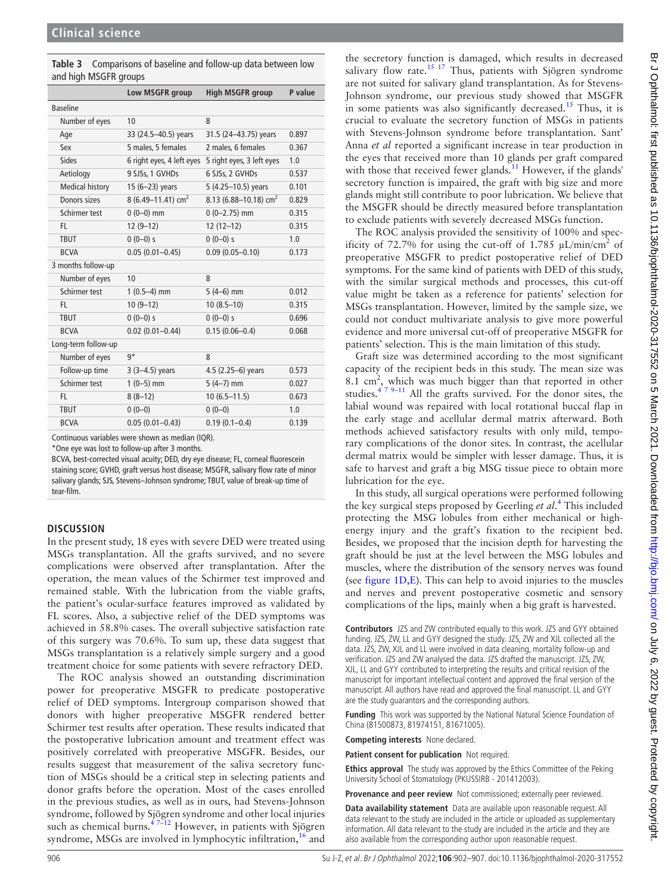<span id="page-4-0"></span>

| <b>Table 3</b> Comparisons of baseline and follow-up data between low |
|-----------------------------------------------------------------------|
| and high MSGFR groups                                                 |

|                        | Low MSGFR group           | <b>High MSGFR group</b>   | P value |
|------------------------|---------------------------|---------------------------|---------|
| <b>Baseline</b>        |                           |                           |         |
| Number of eyes         | 10                        | 8                         |         |
| Age                    | 33 (24.5-40.5) years      | 31.5 (24-43.75) years     | 0.897   |
| Sex                    | 5 males, 5 females        | 2 males, 6 females        | 0.367   |
| Sides                  | 6 right eyes, 4 left eyes | 5 right eyes, 3 left eyes | 1.0     |
| Aetiology              | 9 SJSs, 1 GVHDs           | 6 SJSs, 2 GVHDs           | 0.537   |
| <b>Medical history</b> | 15 (6-23) years           | 5 (4.25-10.5) years       | 0.101   |
| Donors sizes           | 8 (6.49-11.41) $cm2$      | 8.13 (6.88-10.18) $cm2$   | 0.829   |
| Schirmer test          | $0(0-0)$ mm               | $0(0-2.75)$ mm            | 0.315   |
| FL.                    | $12(9-12)$                | $12(12-12)$               | 0.315   |
| <b>TBUT</b>            | $0(0-0)s$                 | $0(0-0)s$                 | 1.0     |
| <b>BCVA</b>            | $0.05(0.01 - 0.45)$       | $0.09(0.05 - 0.10)$       | 0.173   |
| 3 months follow-up     |                           |                           |         |
| Number of eyes         | 10                        | 8                         |         |
| Schirmer test          | $1(0.5-4)$ mm             | $5(4-6)$ mm               | 0.012   |
| FL.                    | $10(9-12)$                | $10(8.5-10)$              | 0.315   |
| <b>TBUT</b>            | $0(0-0)s$                 | $0(0-0)s$                 | 0.696   |
| <b>BCVA</b>            | $0.02$ (0.01-0.44)        | $0.15(0.06 - 0.4)$        | 0.068   |
| Long-term follow-up    |                           |                           |         |
| Number of eyes         | g*                        | 8                         |         |
| Follow-up time         | $3(3-4.5)$ years          | 4.5 (2.25-6) years        | 0.573   |
| Schirmer test          | $1(0-5)$ mm               | $5(4-7)$ mm               | 0.027   |
| FL.                    | $8(8-12)$                 | $10(6.5 - 11.5)$          | 0.673   |
| <b>TBUT</b>            | $0(0-0)$                  | $0(0-0)$                  | 1.0     |
| <b>BCVA</b>            | $0.05(0.01 - 0.43)$       | $0.19(0.1 - 0.4)$         | 0.139   |

Continuous variables were shown as median (IQR).

\*One eye was lost to follow-up after 3 months.

BCVA, best-corrected visual acuity; DED, dry eye disease; FL, corneal fluorescein staining score; GVHD, graft versus host disease; MSGFR, salivary flow rate of minor salivary glands; SJS, Stevens–Johnson syndrome; TBUT, value of break-up time of tear-film.

#### **DISCUSSION**

In the present study, 18 eyes with severe DED were treated using MSGs transplantation. All the grafts survived, and no severe complications were observed after transplantation. After the operation, the mean values of the Schirmer test improved and remained stable. With the lubrication from the viable grafts, the patient's ocular-surface features improved as validated by FL scores. Also, a subjective relief of the DED symptoms was achieved in 58.8% cases. The overall subjective satisfaction rate of this surgery was 70.6%. To sum up, these data suggest that MSGs transplantation is a relatively simple surgery and a good treatment choice for some patients with severe refractory DED.

The ROC analysis showed an outstanding discrimination power for preoperative MSGFR to predicate postoperative relief of DED symptoms. Intergroup comparison showed that donors with higher preoperative MSGFR rendered better Schirmer test results after operation. These results indicated that the postoperative lubrication amount and treatment effect was positively correlated with preoperative MSGFR. Besides, our results suggest that measurement of the saliva secretory function of MSGs should be a critical step in selecting patients and donor grafts before the operation. Most of the cases enrolled in the previous studies, as well as in ours, had Stevens-Johnson syndrome, followed by Sjögren syndrome and other local injuries such as chemical burns.<sup> $47\overline{-12}$ </sup> However, in patients with Sjögren syndrome, MSGs are involved in lymphocytic infiltration,  $^{16}$  and

the secretory function is damaged, which results in decreased salivary flow rate.<sup>[15 17](#page-5-4)</sup> Thus, patients with Sjögren syndrome are not suited for salivary gland transplantation. As for Stevens-Johnson syndrome, our previous study showed that MSGFR in some patients was also significantly decreased.<sup>15</sup> Thus, it is crucial to evaluate the secretory function of MSGs in patients with Stevens-Johnson syndrome before transplantation. Sant' Anna *et al* reported a significant increase in tear production in the eyes that received more than 10 glands per graft compared with those that received fewer glands.<sup>11</sup> However, if the glands' secretory function is impaired, the graft with big size and more glands might still contribute to poor lubrication. We believe that the MSGFR should be directly measured before transplantation to exclude patients with severely decreased MSGs function.

The ROC analysis provided the sensitivity of 100% and specificity of 72.7% for using the cut-off of 1.785  $\mu$ L/min/cm<sup>2</sup> of preoperative MSGFR to predict postoperative relief of DED symptoms. For the same kind of patients with DED of this study, with the similar surgical methods and processes, this cut-off value might be taken as a reference for patients' selection for MSGs transplantation. However, limited by the sample size, we could not conduct multivariate analysis to give more powerful evidence and more universal cut-off of preoperative MSGFR for patients' selection. This is the main limitation of this study.

Graft size was determined according to the most significant capacity of the recipient beds in this study. The mean size was 8.1  $\text{cm}^2$ , which was much bigger than that reported in other studies.<sup>4 7 9–11</sup> All the grafts survived. For the donor sites, the labial wound was repaired with local rotational buccal flap in the early stage and acellular dermal matrix afterward. Both methods achieved satisfactory results with only mild, temporary complications of the donor sites. In contrast, the acellular dermal matrix would be simpler with lesser damage. Thus, it is safe to harvest and graft a big MSG tissue piece to obtain more lubrication for the eye.

In this study, all surgical operations were performed following the key surgical steps proposed by Geerling *et al*. [4](#page-5-2) This included protecting the MSG lobules from either mechanical or highenergy injury and the graft's fixation to the recipient bed. Besides, we proposed that the incision depth for harvesting the graft should be just at the level between the MSG lobules and muscles, where the distribution of the sensory nerves was found (see [figure](#page-1-0) 1D,E). This can help to avoid injuries to the muscles and nerves and prevent postoperative cosmetic and sensory complications of the lips, mainly when a big graft is harvested.

**Contributors** JZS and ZW contributed equally to this work. JZS and GYY obtained funding. JZS, ZW, LL and GYY designed the study. JZS, ZW and XJL collected all the data. JZS, ZW, XJL and LL were involved in data cleaning, mortality follow-up and verification. JZS and ZW analysed the data. JZS drafted the manuscript. JZS, ZW, XJL, LL and GYY contributed to interpreting the results and critical revision of the manuscript for important intellectual content and approved the final version of the manuscript. All authors have read and approved the final manuscript. LL and GYY are the study guarantors and the corresponding authors.

**Funding** This work was supported by the National Natural Science Foundation of China (81500873, 81974151, 81671005).

**Competing interests** None declared.

**Patient consent for publication** Not required.

**Ethics approval** The study was approved by the Ethics Committee of the Peking University School of Stomatology (PKUSSIRB - 201412003).

**Provenance and peer review** Not commissioned; externally peer reviewed.

**Data availability statement** Data are available upon reasonable request. All data relevant to the study are included in the article or uploaded as supplementary information. All data relevant to the study are included in the article and they are also available from the corresponding author upon reasonable request.